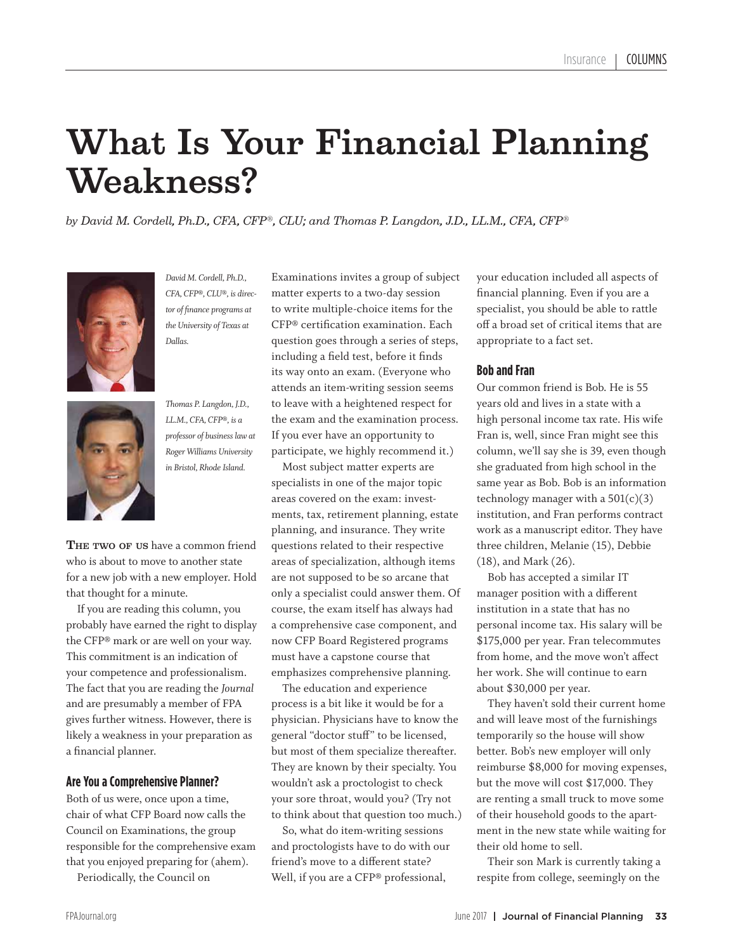# What Is Your Financial Planning

Weakness? *by David M. Cordell, Ph.D., CFA, CFP®, CLU; and Thomas P. Langdon, J.D., LL.M., CFA, CFP®*



*David M. Cordell, Ph.D., CFA, CFP®, CLU®, is director of finance programs at the University of Texas at Dallas.*

*Thomas P. Langdon, J.D., LL.M., CFA, CFP®, is a professor of business law at Roger Williams University in Bristol, Rhode Island.*

THE TWO OF US have a common friend who is about to move to another state for a new job with a new employer. Hold that thought for a minute.

 If you are reading this column, you probably have earned the right to display the CFP® mark or are well on your way. This commitment is an indication of your competence and professionalism. The fact that you are reading the *Journal* and are presumably a member of FPA gives further witness. However, there is likely a weakness in your preparation as a financial planner.

### **Are You a Comprehensive Planner?**

Both of us were, once upon a time, chair of what CFP Board now calls the Council on Examinations, the group responsible for the comprehensive exam that you enjoyed preparing for (ahem).

Periodically, the Council on

Examinations invites a group of subject matter experts to a two-day session to write multiple-choice items for the CFP® certification examination. Each question goes through a series of steps, including a field test, before it finds its way onto an exam. (Everyone who attends an item-writing session seems to leave with a heightened respect for the exam and the examination process. If you ever have an opportunity to participate, we highly recommend it.)

 Most subject matter experts are specialists in one of the major topic areas covered on the exam: investments, tax, retirement planning, estate planning, and insurance. They write questions related to their respective areas of specialization, although items are not supposed to be so arcane that only a specialist could answer them. Of course, the exam itself has always had a comprehensive case component, and now CFP Board Registered programs must have a capstone course that emphasizes comprehensive planning.

 The education and experience process is a bit like it would be for a physician. Physicians have to know the general "doctor stuff" to be licensed, but most of them specialize thereafter. They are known by their specialty. You wouldn't ask a proctologist to check your sore throat, would you? (Try not to think about that question too much.)

 So, what do item-writing sessions and proctologists have to do with our friend's move to a different state? Well, if you are a CFP® professional,

your education included all aspects of financial planning. Even if you are a specialist, you should be able to rattle off a broad set of critical items that are appropriate to a fact set.

### **Bob and Fran**

Our common friend is Bob. He is 55 years old and lives in a state with a high personal income tax rate. His wife Fran is, well, since Fran might see this column, we'll say she is 39, even though she graduated from high school in the same year as Bob. Bob is an information technology manager with a  $501(c)(3)$ institution, and Fran performs contract work as a manuscript editor. They have three children, Melanie (15), Debbie (18), and Mark (26).

 Bob has accepted a similar IT manager position with a different institution in a state that has no personal income tax. His salary will be \$175,000 per year. Fran telecommutes from home, and the move won't affect her work. She will continue to earn about \$30,000 per year.

 They haven't sold their current home and will leave most of the furnishings temporarily so the house will show better. Bob's new employer will only reimburse \$8,000 for moving expenses, but the move will cost \$17,000. They are renting a small truck to move some of their household goods to the apartment in the new state while waiting for their old home to sell.

 Their son Mark is currently taking a respite from college, seemingly on the